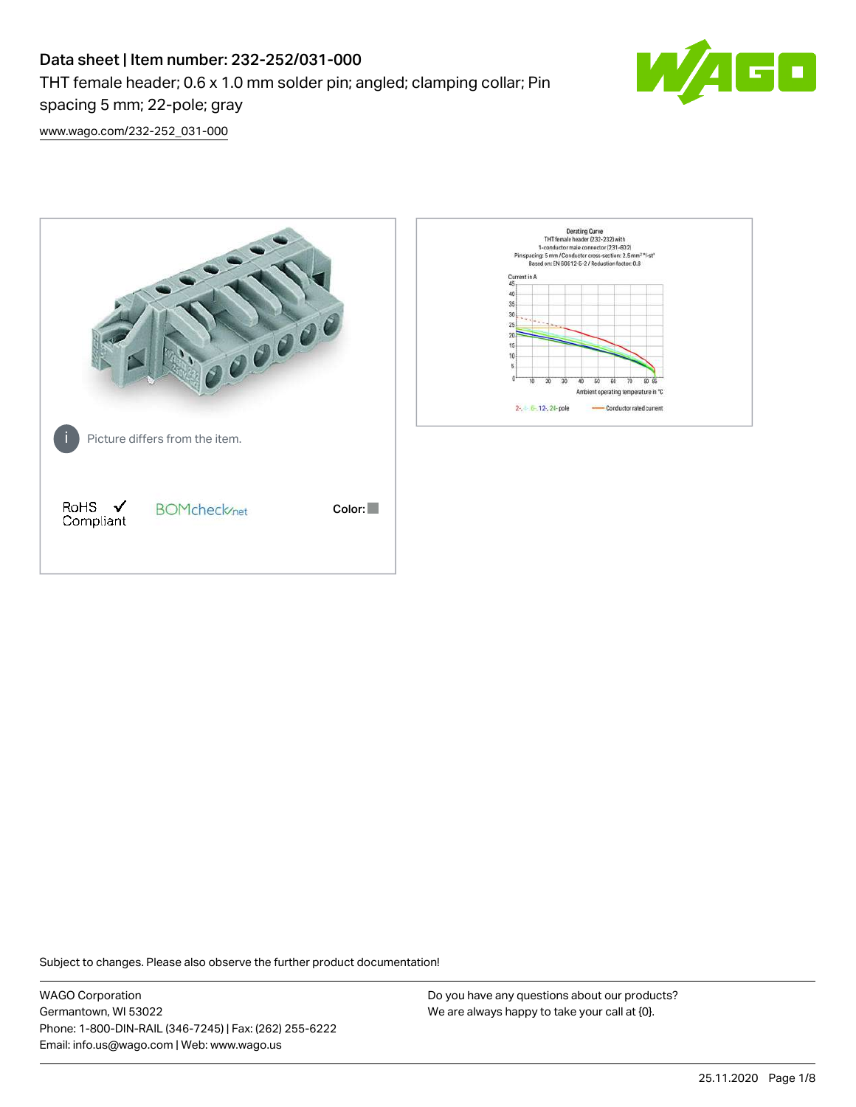# Data sheet | Item number: 232-252/031-000 THT female header; 0.6 x 1.0 mm solder pin; angled; clamping collar; Pin spacing 5 mm; 22-pole; gray



[www.wago.com/232-252\\_031-000](http://www.wago.com/232-252_031-000)



Subject to changes. Please also observe the further product documentation!

WAGO Corporation Germantown, WI 53022 Phone: 1-800-DIN-RAIL (346-7245) | Fax: (262) 255-6222 Email: info.us@wago.com | Web: www.wago.us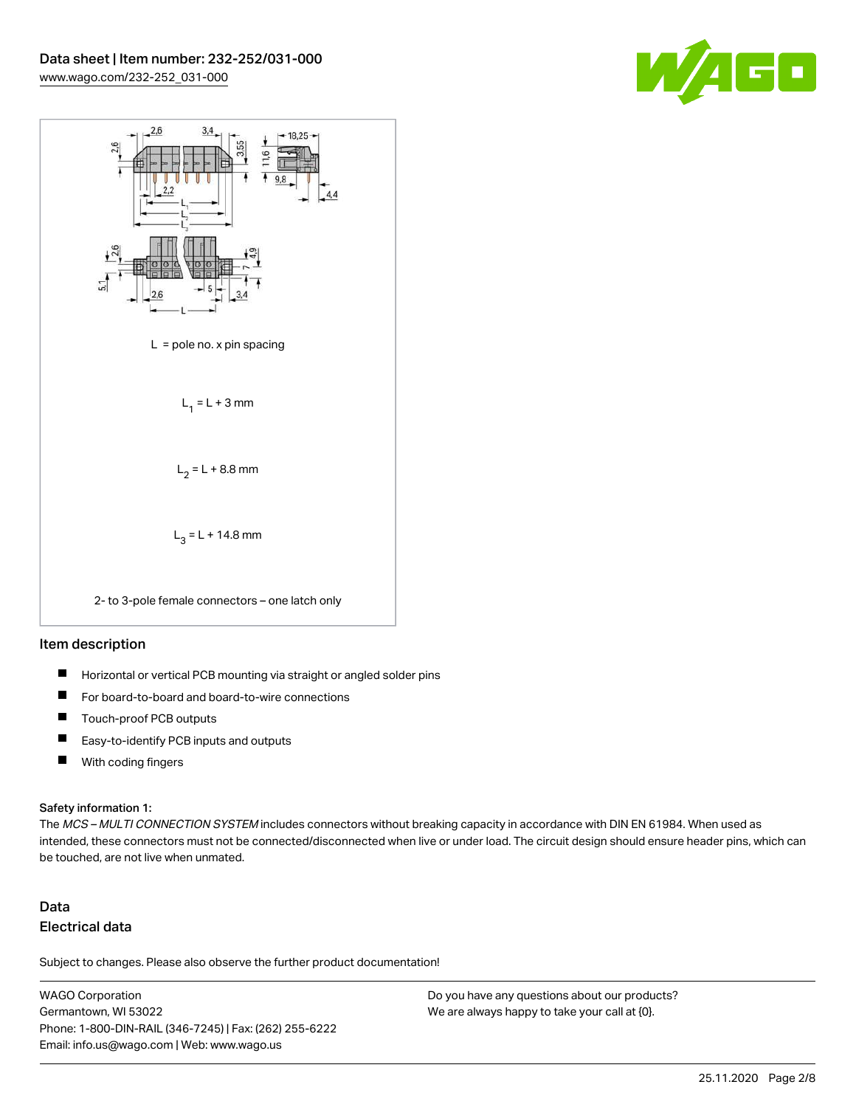



## Item description

- $\blacksquare$ Horizontal or vertical PCB mounting via straight or angled solder pins
- П For board-to-board and board-to-wire connections
- $\blacksquare$ Touch-proof PCB outputs
- $\blacksquare$ Easy-to-identify PCB inputs and outputs
- $\blacksquare$ With coding fingers

#### Safety information 1:

The MCS - MULTI CONNECTION SYSTEM includes connectors without breaking capacity in accordance with DIN EN 61984. When used as intended, these connectors must not be connected/disconnected when live or under load. The circuit design should ensure header pins, which can be touched, are not live when unmated.

## Data Electrical data

Subject to changes. Please also observe the further product documentation!

WAGO Corporation Germantown, WI 53022 Phone: 1-800-DIN-RAIL (346-7245) | Fax: (262) 255-6222 Email: info.us@wago.com | Web: www.wago.us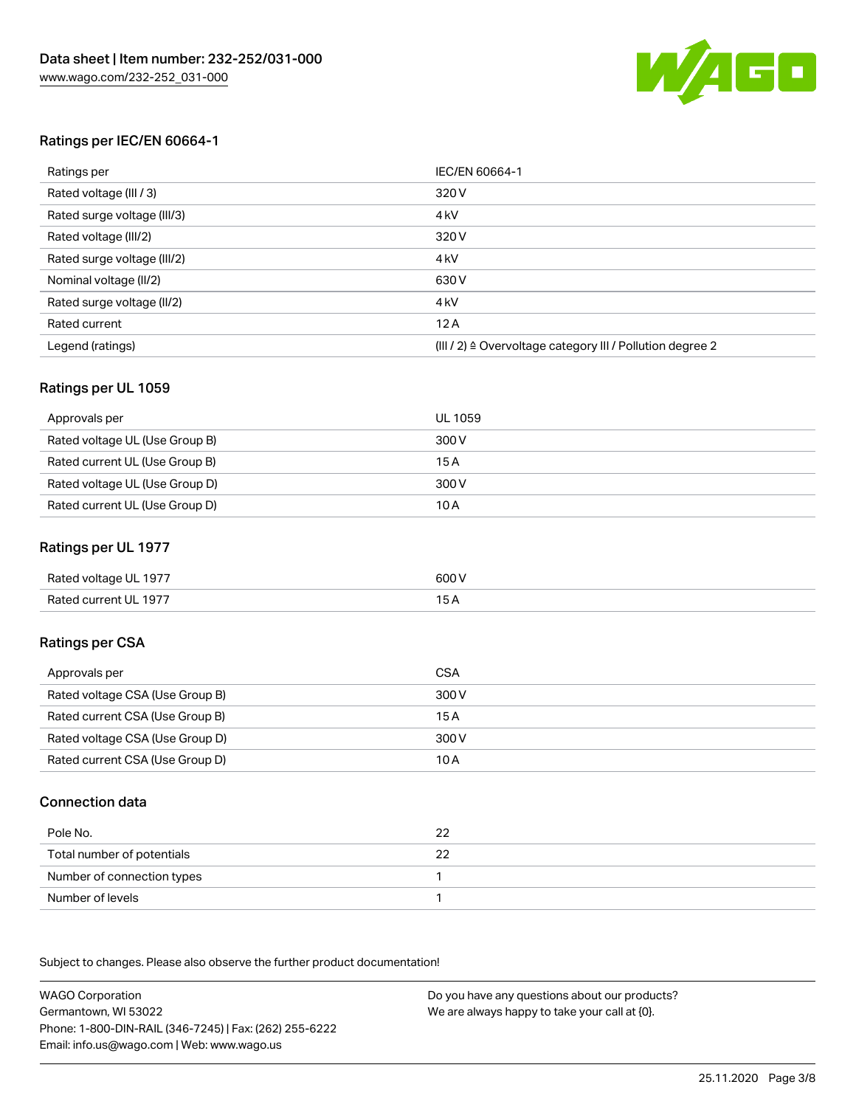

## Ratings per IEC/EN 60664-1

| Ratings per                 | IEC/EN 60664-1                                                        |  |
|-----------------------------|-----------------------------------------------------------------------|--|
| Rated voltage (III / 3)     | 320 V                                                                 |  |
| Rated surge voltage (III/3) | 4 <sub>k</sub> V                                                      |  |
| Rated voltage (III/2)       | 320 V                                                                 |  |
| Rated surge voltage (III/2) | 4 <sub>k</sub> V                                                      |  |
| Nominal voltage (II/2)      | 630 V                                                                 |  |
| Rated surge voltage (II/2)  | 4 <sub>k</sub> V                                                      |  |
| Rated current               | 12A                                                                   |  |
| Legend (ratings)            | $(III / 2)$ $\triangle$ Overvoltage category III / Pollution degree 2 |  |

#### Ratings per UL 1059

| Approvals per                  | UL 1059 |
|--------------------------------|---------|
| Rated voltage UL (Use Group B) | 300 V   |
| Rated current UL (Use Group B) | 15 A    |
| Rated voltage UL (Use Group D) | 300 V   |
| Rated current UL (Use Group D) | 10 A    |

## Ratings per UL 1977

| Rated voltage UL 1977 | 600 <sup>V</sup><br>. |
|-----------------------|-----------------------|
| Rated current UL 1977 |                       |

## Ratings per CSA

| Approvals per                   | CSA   |
|---------------------------------|-------|
| Rated voltage CSA (Use Group B) | 300 V |
| Rated current CSA (Use Group B) | 15 A  |
| Rated voltage CSA (Use Group D) | 300 V |
| Rated current CSA (Use Group D) | 10 A  |

## Connection data

| Pole No.                   | 22 |
|----------------------------|----|
| Total number of potentials |    |
| Number of connection types |    |
| Number of levels           |    |

.<br>Subject to changes. Please also observe the further product documentation!

WAGO Corporation Germantown, WI 53022 Phone: 1-800-DIN-RAIL (346-7245) | Fax: (262) 255-6222 Email: info.us@wago.com | Web: www.wago.us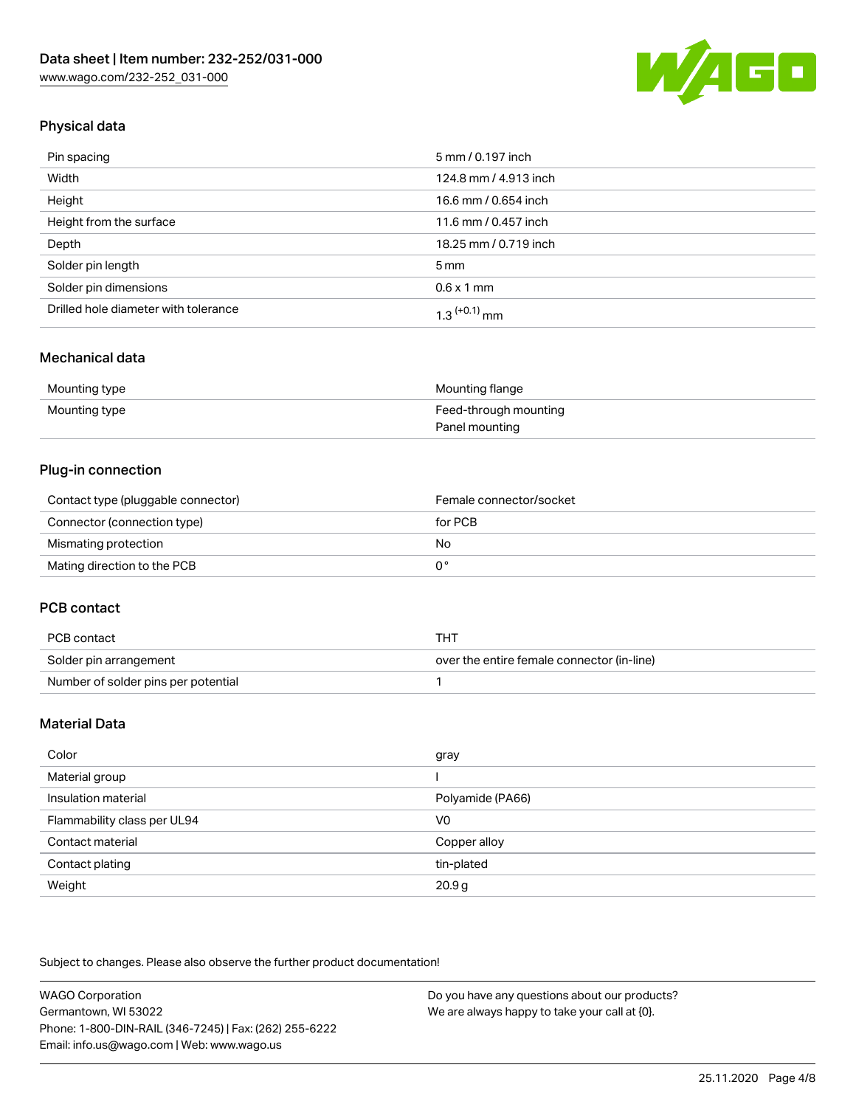

## Physical data

| Pin spacing                          | 5 mm / 0.197 inch     |
|--------------------------------------|-----------------------|
| Width                                | 124.8 mm / 4.913 inch |
| Height                               | 16.6 mm / 0.654 inch  |
| Height from the surface              | 11.6 mm / 0.457 inch  |
| Depth                                | 18.25 mm / 0.719 inch |
| Solder pin length                    | $5 \,\mathrm{mm}$     |
| Solder pin dimensions                | $0.6 \times 1$ mm     |
| Drilled hole diameter with tolerance | $1.3$ $(+0.1)$ mm     |

## Mechanical data

| Mounting type | Mounting flange       |
|---------------|-----------------------|
| Mounting type | Feed-through mounting |
|               | Panel mounting        |

## Plug-in connection

| Contact type (pluggable connector) | Female connector/socket |
|------------------------------------|-------------------------|
| Connector (connection type)        | for PCB                 |
| Mismating protection               | No                      |
| Mating direction to the PCB        |                         |

## PCB contact

| PCB contact                         | THT                                        |
|-------------------------------------|--------------------------------------------|
| Solder pin arrangement              | over the entire female connector (in-line) |
| Number of solder pins per potential |                                            |

## Material Data

| Color                       | gray              |
|-----------------------------|-------------------|
| Material group              |                   |
| Insulation material         | Polyamide (PA66)  |
| Flammability class per UL94 | V <sub>0</sub>    |
| Contact material            | Copper alloy      |
| Contact plating             | tin-plated        |
| Weight                      | 20.9 <sub>g</sub> |

Subject to changes. Please also observe the further product documentation!

| WAGO Corporation                                       | Do you have any questions about our products? |
|--------------------------------------------------------|-----------------------------------------------|
| Germantown. WI 53022                                   | We are always happy to take your call at {0}. |
| Phone: 1-800-DIN-RAIL (346-7245)   Fax: (262) 255-6222 |                                               |
| Email: info.us@wago.com   Web: www.wago.us             |                                               |
|                                                        |                                               |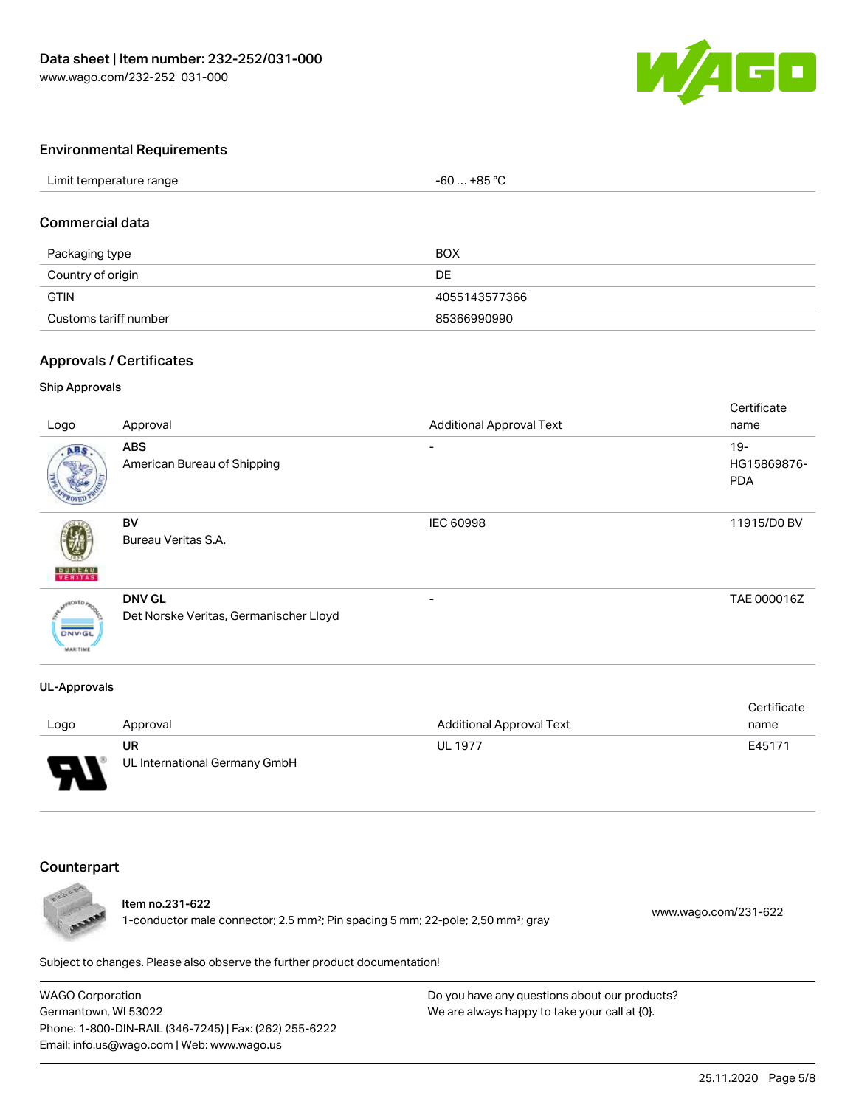

#### Environmental Requirements

| Limit temperature range | $-60+85 °C$ |  |
|-------------------------|-------------|--|
|                         |             |  |

## Commercial data

| Packaging type        | BOX           |
|-----------------------|---------------|
| Country of origin     | DE            |
| <b>GTIN</b>           | 4055143577366 |
| Customs tariff number | 85366990990   |

#### Approvals / Certificates

#### Ship Approvals

| Logo                             | Approval                                                | <b>Additional Approval Text</b> | Certificate<br>name                 |
|----------------------------------|---------------------------------------------------------|---------------------------------|-------------------------------------|
| ABS                              | <b>ABS</b><br>American Bureau of Shipping               | ۰                               | $19 -$<br>HG15869876-<br><b>PDA</b> |
| <b>BUNEAU</b>                    | BV<br>Bureau Veritas S.A.                               | IEC 60998                       | 11915/D0 BV                         |
| <b>DNV-GL</b><br><b>MARITIME</b> | <b>DNV GL</b><br>Det Norske Veritas, Germanischer Lloyd | $\overline{\phantom{0}}$        | TAE 000016Z                         |

#### UL-Approvals

|      |                               |                                 | Certificate |
|------|-------------------------------|---------------------------------|-------------|
| Logo | Approval                      | <b>Additional Approval Text</b> | name        |
|      | UR                            | <b>UL 1977</b>                  | E45171      |
| Б    | UL International Germany GmbH |                                 |             |

#### Counterpart



Item no.231-622 1-conductor male connector; 2.5 mm²; Pin spacing 5 mm; 22-pole; 2,50 mm²; gray [www.wago.com/231-622](https://www.wago.com/231-622)

Subject to changes. Please also observe the further product documentation!

WAGO Corporation Germantown, WI 53022 Phone: 1-800-DIN-RAIL (346-7245) | Fax: (262) 255-6222 Email: info.us@wago.com | Web: www.wago.us Do you have any questions about our products? We are always happy to take your call at {0}.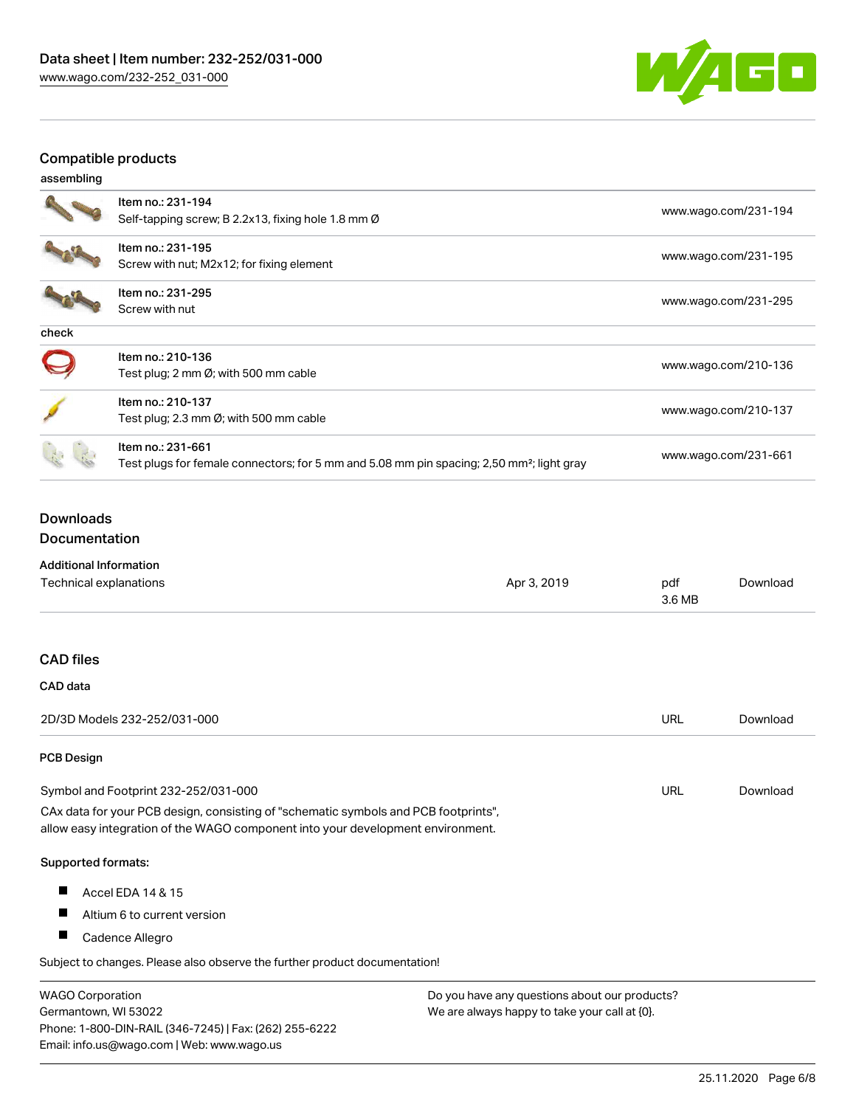

## Compatible products

| assembling |  |
|------------|--|
|            |  |

|       | Item no.: 231-194<br>Self-tapping screw; B 2.2x13, fixing hole 1.8 mm Ø                                                    | www.wago.com/231-194 |
|-------|----------------------------------------------------------------------------------------------------------------------------|----------------------|
|       | Item no.: 231-195<br>Screw with nut; M2x12; for fixing element                                                             | www.wago.com/231-195 |
|       | Item no.: 231-295<br>Screw with nut                                                                                        | www.wago.com/231-295 |
| check |                                                                                                                            |                      |
|       | Item no.: 210-136<br>Test plug; 2 mm $\varnothing$ ; with 500 mm cable                                                     | www.wago.com/210-136 |
|       | Item no.: 210-137<br>Test plug; 2.3 mm $\emptyset$ ; with 500 mm cable                                                     | www.wago.com/210-137 |
|       | Item no.: 231-661<br>Test plugs for female connectors; for 5 mm and 5.08 mm pin spacing; 2,50 mm <sup>2</sup> ; light gray | www.wago.com/231-661 |

## Downloads Documentation

## Additional Information

| Additional Information                                                                                                                                                 |             |               |          |
|------------------------------------------------------------------------------------------------------------------------------------------------------------------------|-------------|---------------|----------|
| Technical explanations                                                                                                                                                 | Apr 3, 2019 | pdf<br>3.6 MB | Download |
|                                                                                                                                                                        |             |               |          |
| <b>CAD files</b>                                                                                                                                                       |             |               |          |
| CAD data                                                                                                                                                               |             |               |          |
| 2D/3D Models 232-252/031-000                                                                                                                                           |             | URL           | Download |
| <b>PCB Design</b>                                                                                                                                                      |             |               |          |
| Symbol and Footprint 232-252/031-000                                                                                                                                   |             | <b>URL</b>    | Download |
| CAx data for your PCB design, consisting of "schematic symbols and PCB footprints",<br>allow easy integration of the WAGO component into your development environment. |             |               |          |
| <b>Supported formats:</b>                                                                                                                                              |             |               |          |
| ш<br>Accel EDA 14 & 15                                                                                                                                                 |             |               |          |
| ш<br>Altium 6 to current version                                                                                                                                       |             |               |          |
| ш<br>Cadence Allegro                                                                                                                                                   |             |               |          |

Subject to changes. Please also observe the further product documentation!

WAGO Corporation Germantown, WI 53022 Phone: 1-800-DIN-RAIL (346-7245) | Fax: (262) 255-6222 Email: info.us@wago.com | Web: www.wago.us Do you have any questions about our products? We are always happy to take your call at {0}.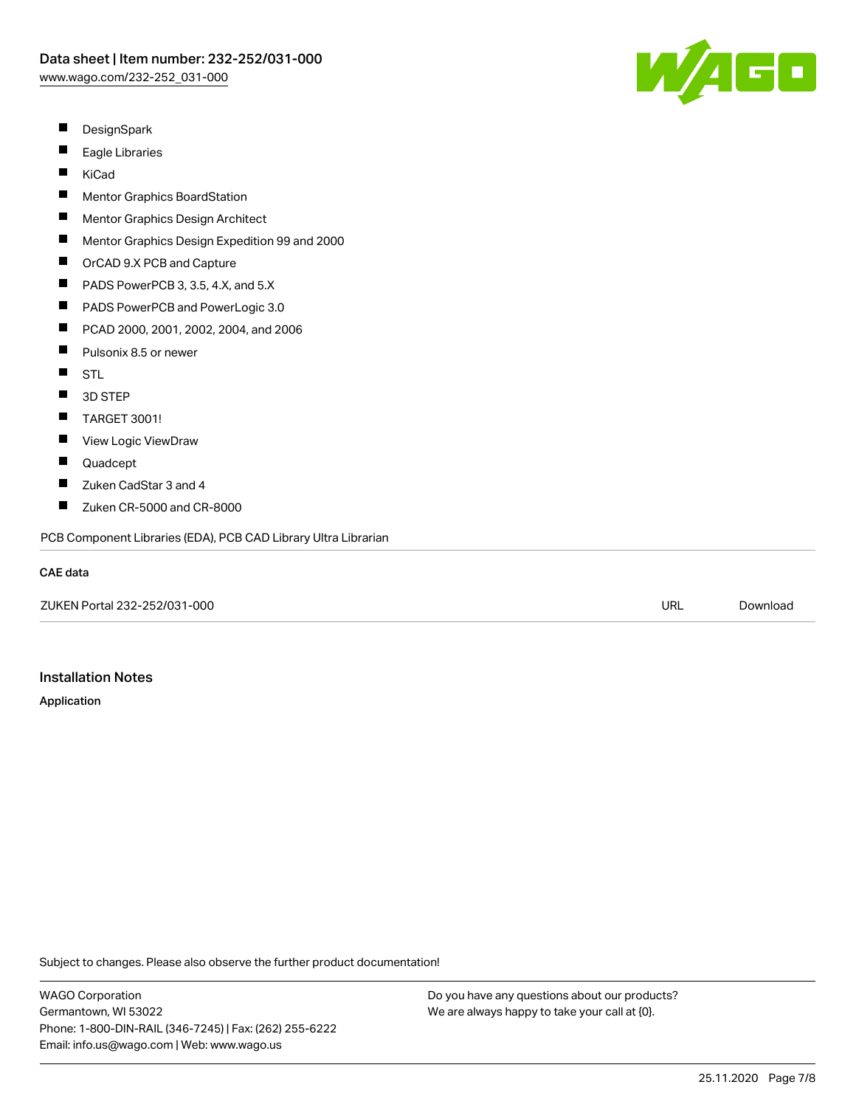

- $\blacksquare$ DesignSpark
- П Eagle Libraries
- П KiCad
- $\blacksquare$ Mentor Graphics BoardStation
- $\blacksquare$ Mentor Graphics Design Architect
- П Mentor Graphics Design Expedition 99 and 2000
- $\blacksquare$ OrCAD 9.X PCB and Capture
- $\blacksquare$ PADS PowerPCB 3, 3.5, 4.X, and 5.X
- $\blacksquare$ PADS PowerPCB and PowerLogic 3.0
- $\blacksquare$ PCAD 2000, 2001, 2002, 2004, and 2006
- П Pulsonix 8.5 or newer
- $\blacksquare$ **STL**
- $\blacksquare$ 3D STEP
- П TARGET 3001!
- $\blacksquare$ View Logic ViewDraw
- $\blacksquare$ Quadcept
- П Zuken CadStar 3 and 4
- П Zuken CR-5000 and CR-8000

PCB Component Libraries (EDA), PCB CAD Library Ultra Librarian

#### CAE data

ZUKEN Portal 232-252/031-000 URL [Download](https://www.wago.com/us/d/Zuken_URLS_232-252_031-000)

## Installation Notes

Application

Subject to changes. Please also observe the further product documentation!

WAGO Corporation Germantown, WI 53022 Phone: 1-800-DIN-RAIL (346-7245) | Fax: (262) 255-6222 Email: info.us@wago.com | Web: www.wago.us